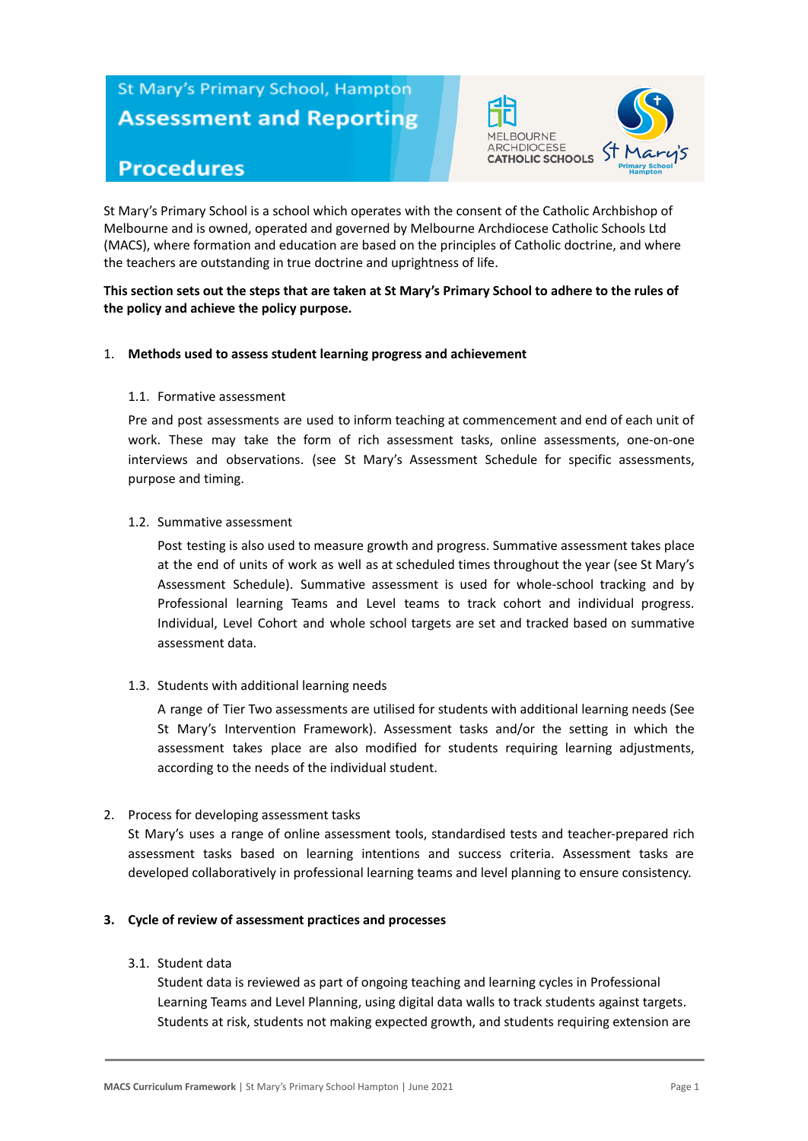# St Mary's Primary School, Hampton **Assessment and Reporting**



# **Procedures**

St Mary's Primary School is a school which operates with the consent of the Catholic Archbishop of Melbourne and is owned, operated and governed by Melbourne Archdiocese Catholic Schools Ltd (MACS), where formation and education are based on the principles of Catholic doctrine, and where the teachers are outstanding in true doctrine and uprightness of life.

#### **This section sets out the steps that are taken at St Mary's Primary School to adhere to the rules of the policy and achieve the policy purpose.**

#### 1. **Methods used to assess student learning progress and achievement**

#### 1.1. Formative assessment

Pre and post assessments are used to inform teaching at commencement and end of each unit of work. These may take the form of rich assessment tasks, online assessments, one-on-one interviews and observations. (see St Mary's Assessment Schedule for specific assessments, purpose and timing.

#### 1.2. Summative assessment

Post testing is also used to measure growth and progress. Summative assessment takes place at the end of units of work as well as at scheduled times throughout the year (see St Mary's Assessment Schedule). Summative assessment is used for whole-school tracking and by Professional learning Teams and Level teams to track cohort and individual progress. Individual, Level Cohort and whole school targets are set and tracked based on summative assessment data.

1.3. Students with additional learning needs

A range of Tier Two assessments are utilised for students with additional learning needs (See St Mary's Intervention Framework). Assessment tasks and/or the setting in which the assessment takes place are also modified for students requiring learning adjustments, according to the needs of the individual student.

#### 2. Process for developing assessment tasks

St Mary's uses a range of online assessment tools, standardised tests and teacher-prepared rich assessment tasks based on learning intentions and success criteria. Assessment tasks are developed collaboratively in professional learning teams and level planning to ensure consistency.

#### **3. Cycle of review of assessment practices and processes**

3.1. Student data

Student data is reviewed as part of ongoing teaching and learning cycles in Professional Learning Teams and Level Planning, using digital data walls to track students against targets. Students at risk, students not making expected growth, and students requiring extension are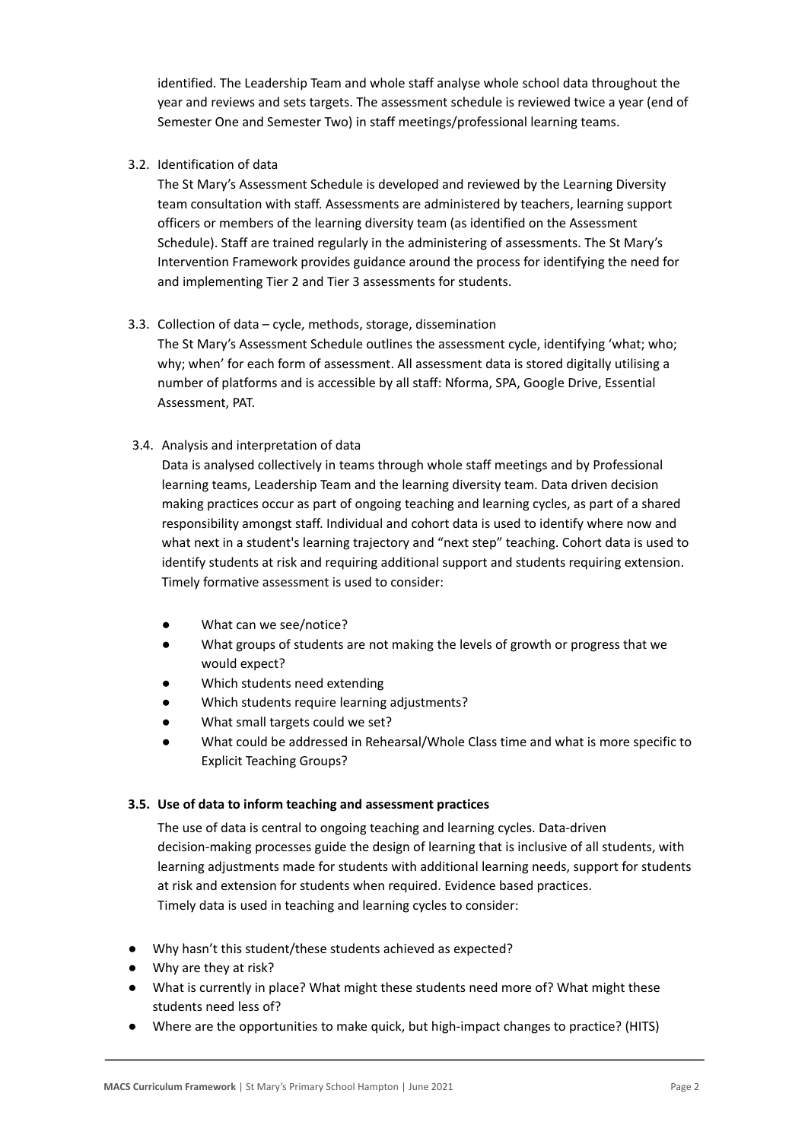identified. The Leadership Team and whole staff analyse whole school data throughout the year and reviews and sets targets. The assessment schedule is reviewed twice a year (end of Semester One and Semester Two) in staff meetings/professional learning teams.

# 3.2. Identification of data

The St Mary's Assessment Schedule is developed and reviewed by the Learning Diversity team consultation with staff. Assessments are administered by teachers, learning support officers or members of the learning diversity team (as identified on the Assessment Schedule). Staff are trained regularly in the administering of assessments. The St Mary's Intervention Framework provides guidance around the process for identifying the need for and implementing Tier 2 and Tier 3 assessments for students.

# 3.3. Collection of data – cycle, methods, storage, dissemination

The St Mary's Assessment Schedule outlines the assessment cycle, identifying 'what; who; why; when' for each form of assessment. All assessment data is stored digitally utilising a number of platforms and is accessible by all staff: Nforma, SPA, Google Drive, Essential Assessment, PAT.

# 3.4. Analysis and interpretation of data

Data is analysed collectively in teams through whole staff meetings and by Professional learning teams, Leadership Team and the learning diversity team. Data driven decision making practices occur as part of ongoing teaching and learning cycles, as part of a shared responsibility amongst staff. Individual and cohort data is used to identify where now and what next in a student's learning trajectory and "next step" teaching. Cohort data is used to identify students at risk and requiring additional support and students requiring extension. Timely formative assessment is used to consider:

- What can we see/notice?
- What groups of students are not making the levels of growth or progress that we would expect?
- Which students need extending
- Which students require learning adjustments?
- What small targets could we set?
- What could be addressed in Rehearsal/Whole Class time and what is more specific to Explicit Teaching Groups?

#### **3.5. Use of data to inform teaching and assessment practices**

The use of data is central to ongoing teaching and learning cycles. Data-driven decision-making processes guide the design of learning that is inclusive of all students, with learning adjustments made for students with additional learning needs, support for students at risk and extension for students when required. Evidence based practices. Timely data is used in teaching and learning cycles to consider:

- Why hasn't this student/these students achieved as expected?
- Why are they at risk?
- What is currently in place? What might these students need more of? What might these students need less of?
- Where are the opportunities to make quick, but high-impact changes to practice? (HITS)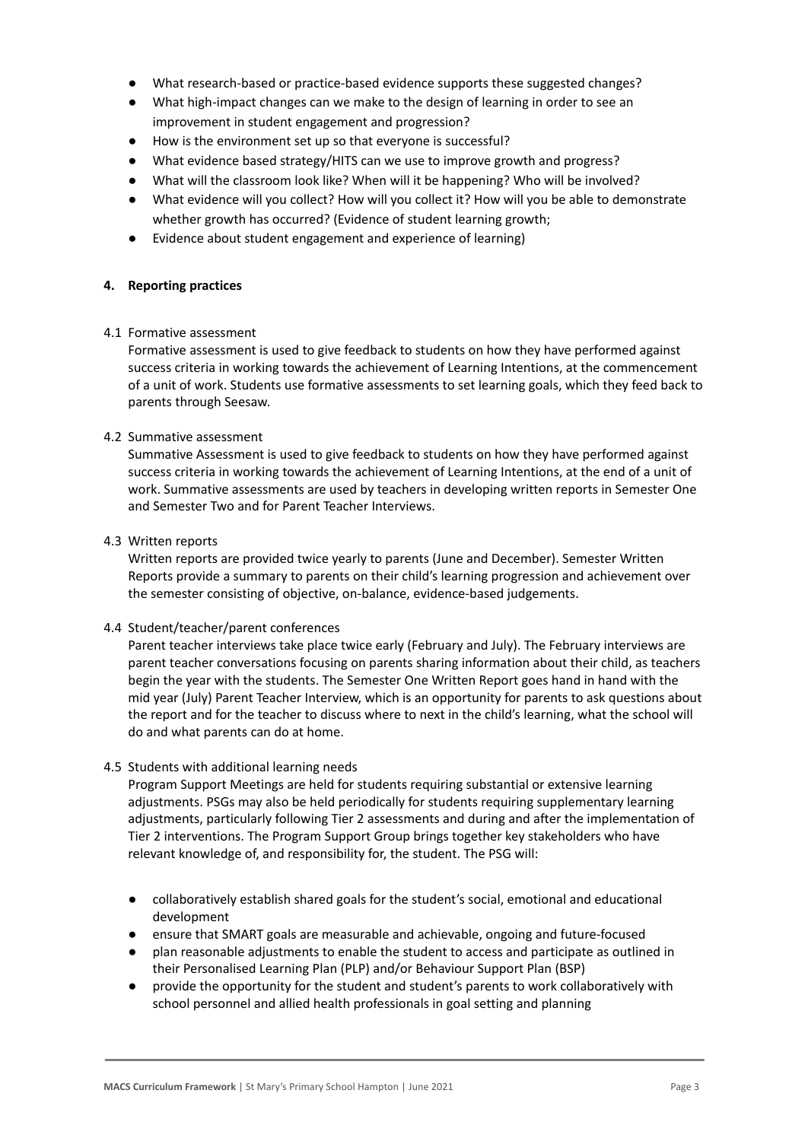- What research-based or practice-based evidence supports these suggested changes?
- What high-impact changes can we make to the design of learning in order to see an improvement in student engagement and progression?
- How is the environment set up so that everyone is successful?
- What evidence based strategy/HITS can we use to improve growth and progress?
- What will the classroom look like? When will it be happening? Who will be involved?
- What evidence will you collect? How will you collect it? How will you be able to demonstrate whether growth has occurred? (Evidence of student learning growth;
- Evidence about student engagement and experience of learning)

#### **4. Reporting practices**

#### 4.1 Formative assessment

Formative assessment is used to give feedback to students on how they have performed against success criteria in working towards the achievement of Learning Intentions, at the commencement of a unit of work. Students use formative assessments to set learning goals, which they feed back to parents through Seesaw.

#### 4.2 Summative assessment

Summative Assessment is used to give feedback to students on how they have performed against success criteria in working towards the achievement of Learning Intentions, at the end of a unit of work. Summative assessments are used by teachers in developing written reports in Semester One and Semester Two and for Parent Teacher Interviews.

#### 4.3 Written reports

Written reports are provided twice yearly to parents (June and December). Semester Written Reports provide a summary to parents on their child's learning progression and achievement over the semester consisting of objective, on-balance, evidence-based judgements.

#### 4.4 Student/teacher/parent conferences

Parent teacher interviews take place twice early (February and July). The February interviews are parent teacher conversations focusing on parents sharing information about their child, as teachers begin the year with the students. The Semester One Written Report goes hand in hand with the mid year (July) Parent Teacher Interview, which is an opportunity for parents to ask questions about the report and for the teacher to discuss where to next in the child's learning, what the school will do and what parents can do at home.

#### 4.5 Students with additional learning needs

Program Support Meetings are held for students requiring substantial or extensive learning adjustments. PSGs may also be held periodically for students requiring supplementary learning adjustments, particularly following Tier 2 assessments and during and after the implementation of Tier 2 interventions. The Program Support Group brings together key stakeholders who have relevant knowledge of, and responsibility for, the student. The PSG will:

- collaboratively establish shared goals for the student's social, emotional and educational development
- ensure that SMART goals are measurable and achievable, ongoing and future-focused
- plan reasonable adjustments to enable the student to access and participate as outlined in their Personalised Learning Plan (PLP) and/or Behaviour Support Plan (BSP)
- provide the opportunity for the student and student's parents to work collaboratively with school personnel and allied health professionals in goal setting and planning